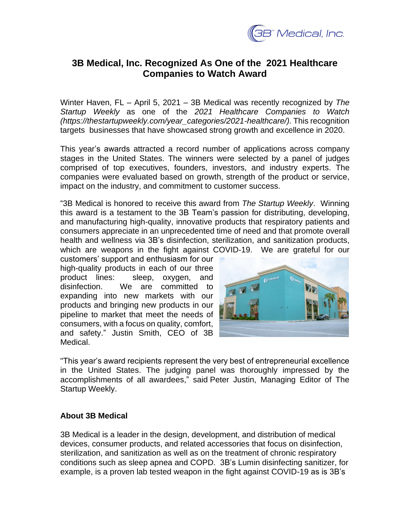

## **3B Medical, Inc. Recognized As One of the 2021 Healthcare Companies to Watch Award**

Winter Haven, FL – April 5, 2021 – 3B Medical was recently recognized by *The Startup Weekly* as one of the *2021 Healthcare Companies to Watch (https://thestartupweekly.com/year\_categories/2021-healthcare/).* This recognition targets businesses that have showcased strong growth and excellence in 2020.

This year's awards attracted a record number of applications across company stages in the United States. The winners were selected by a panel of judges comprised of top executives, founders, investors, and industry experts. The companies were evaluated based on growth, strength of the product or service, impact on the industry, and commitment to customer success.

"3B Medical is honored to receive this award from *The Startup Weekly*. Winning this award is a testament to the 3B Team's passion for distributing, developing, and manufacturing high-quality, innovative products that respiratory patients and consumers appreciate in an unprecedented time of need and that promote overall health and wellness via 3B's disinfection, sterilization, and sanitization products, which are weapons in the fight against COVID-19. We are grateful for our

customers' support and enthusiasm for our high-quality products in each of our three product lines: sleep, oxygen, and disinfection. We are committed to expanding into new markets with our products and bringing new products in our pipeline to market that meet the needs of consumers, with a focus on quality, comfort, and safety." Justin Smith, CEO of 3B Medical.



"This year's award recipients represent the very best of entrepreneurial excellence in the United States. The judging panel was thoroughly impressed by the accomplishments of all awardees," said Peter Justin, Managing Editor of The Startup Weekly.

## **About 3B Medical**

3B Medical is a leader in the design, development, and distribution of medical devices, consumer products, and related accessories that focus on disinfection, sterilization, and sanitization as well as on the treatment of chronic respiratory conditions such as sleep apnea and COPD. 3B's Lumin disinfecting sanitizer, for example, is a proven lab tested weapon in the fight against COVID-19 as is 3B's